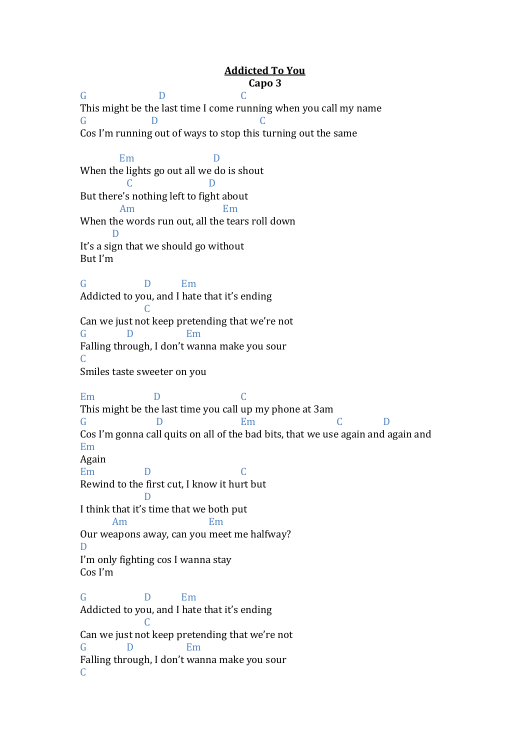## **Addicted To You Capo 3**

G D C This might be the last time I come running when you call my name G D C Cos I'm running out of ways to stop this turning out the same Em D When the lights go out all we do is shout C D But there's nothing left to fight about Am Em When the words run out, all the tears roll down D It's a sign that we should go without But I'm G D Em Addicted to you, and I hate that it's ending C Can we just not keep pretending that we're not G D Em Falling through, I don't wanna make you sour C Smiles taste sweeter on you Em D C This might be the last time you call up my phone at 3am G D Em C D Cos I'm gonna call quits on all of the bad bits, that we use again and again and Em Again Em D C Rewind to the first cut, I know it hurt but D I think that it's time that we both put Am Em Our weapons away, can you meet me halfway? D I'm only fighting cos I wanna stay Cos I'm G D Em Addicted to you, and I hate that it's ending C Can we just not keep pretending that we're not G D Em Falling through, I don't wanna make you sour  $\mathcal{C}$